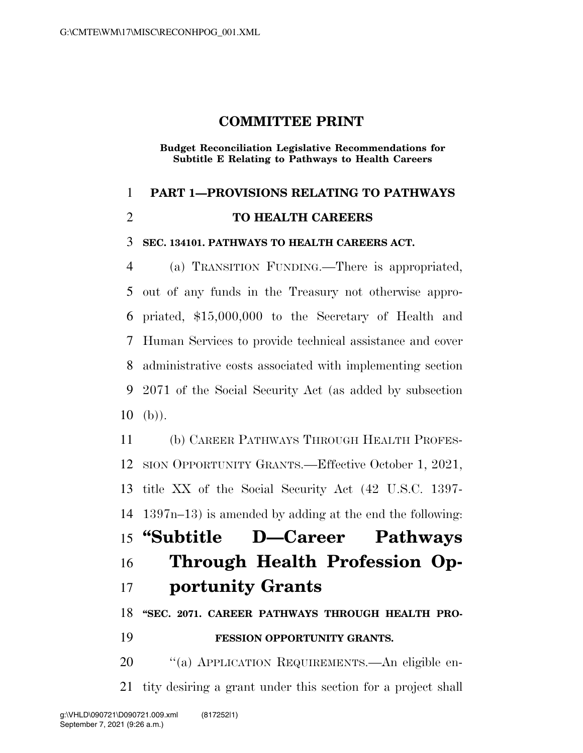# **COMMITTEE PRINT**

**Budget Reconciliation Legislative Recommendations for Subtitle E Relating to Pathways to Health Careers** 

## **PART 1—PROVISIONS RELATING TO PATHWAYS**

## **TO HEALTH CAREERS**

#### **SEC. 134101. PATHWAYS TO HEALTH CAREERS ACT.**

 (a) TRANSITION FUNDING.—There is appropriated, out of any funds in the Treasury not otherwise appro- priated, \$15,000,000 to the Secretary of Health and Human Services to provide technical assistance and cover administrative costs associated with implementing section 2071 of the Social Security Act (as added by subsection (b)).

 (b) CAREER PATHWAYS THROUGH HEALTH PROFES- SION OPPORTUNITY GRANTS.—Effective October 1, 2021, title XX of the Social Security Act (42 U.S.C. 1397- 1397n–13) is amended by adding at the end the following: **''Subtitle D—Career Pathways Through Health Profession Op-**

# **portunity Grants**

**''SEC. 2071. CAREER PATHWAYS THROUGH HEALTH PRO-**

# **FESSION OPPORTUNITY GRANTS.**

 ''(a) APPLICATION REQUIREMENTS.—An eligible en-tity desiring a grant under this section for a project shall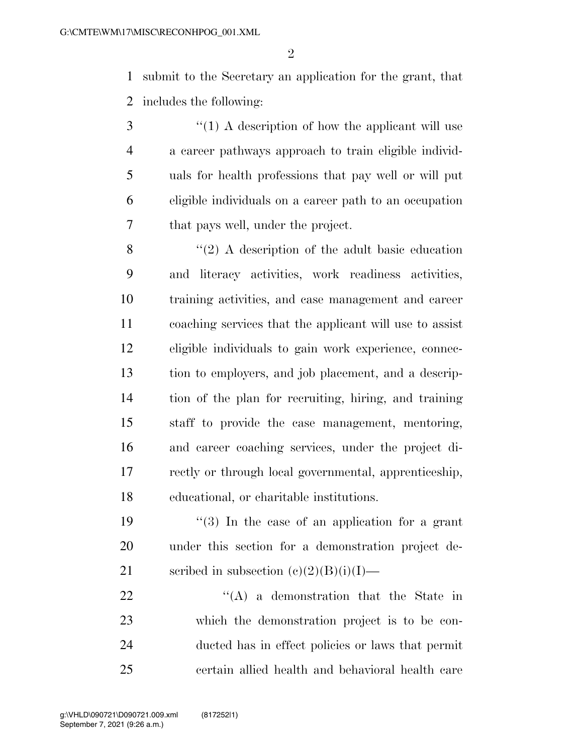submit to the Secretary an application for the grant, that includes the following:

3 (1) A description of how the applicant will use a career pathways approach to train eligible individ- uals for health professions that pay well or will put eligible individuals on a career path to an occupation that pays well, under the project.

8 ''(2) A description of the adult basic education and literacy activities, work readiness activities, training activities, and case management and career coaching services that the applicant will use to assist eligible individuals to gain work experience, connec- tion to employers, and job placement, and a descrip- tion of the plan for recruiting, hiring, and training staff to provide the case management, mentoring, and career coaching services, under the project di- rectly or through local governmental, apprenticeship, educational, or charitable institutions.

19  $\frac{1}{2}$  (3) In the case of an application for a grant under this section for a demonstration project de-21 scribed in subsection  $(c)(2)(B)(i)(I)$ —

  $\qquad$   $\qquad$   $\qquad$   $\qquad$   $\qquad$   $\qquad$   $\qquad$   $\qquad$   $\qquad$   $\qquad$   $\qquad$   $\qquad$   $\qquad$   $\qquad$   $\qquad$   $\qquad$   $\qquad$   $\qquad$   $\qquad$   $\qquad$   $\qquad$   $\qquad$   $\qquad$   $\qquad$   $\qquad$   $\qquad$   $\qquad$   $\qquad$   $\qquad$   $\qquad$   $\qquad$   $\qquad$   $\qquad$   $\qquad$   $\qquad$   $\qquad$  which the demonstration project is to be con- ducted has in effect policies or laws that permit certain allied health and behavioral health care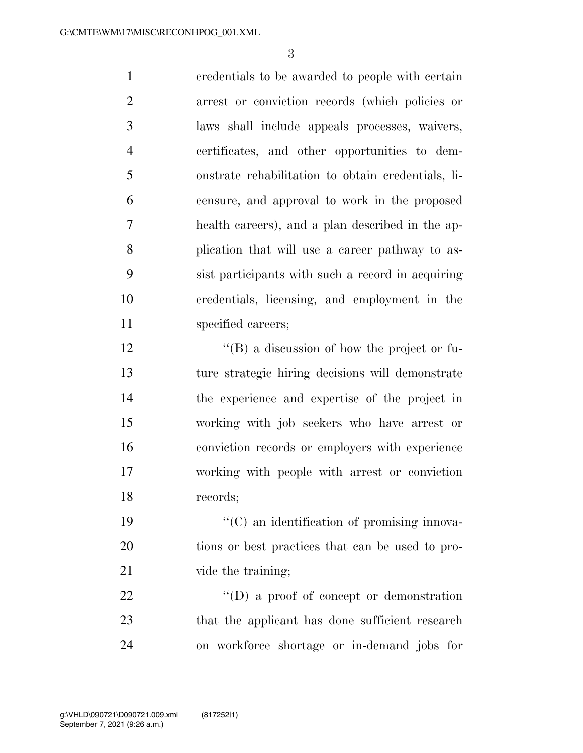credentials to be awarded to people with certain arrest or conviction records (which policies or laws shall include appeals processes, waivers, certificates, and other opportunities to dem- onstrate rehabilitation to obtain credentials, li- censure, and approval to work in the proposed health careers), and a plan described in the ap- plication that will use a career pathway to as- sist participants with such a record in acquiring credentials, licensing, and employment in the 11 specified careers;

 $\langle G \rangle$  a discussion of how the project or fu- ture strategic hiring decisions will demonstrate the experience and expertise of the project in working with job seekers who have arrest or conviction records or employers with experience working with people with arrest or conviction records;

19  $\cdot$  (C) an identification of promising innova- tions or best practices that can be used to pro-21 vide the training;

22  $\text{``(D) a proof of concept or demonstration}$ 23 that the applicant has done sufficient research on workforce shortage or in-demand jobs for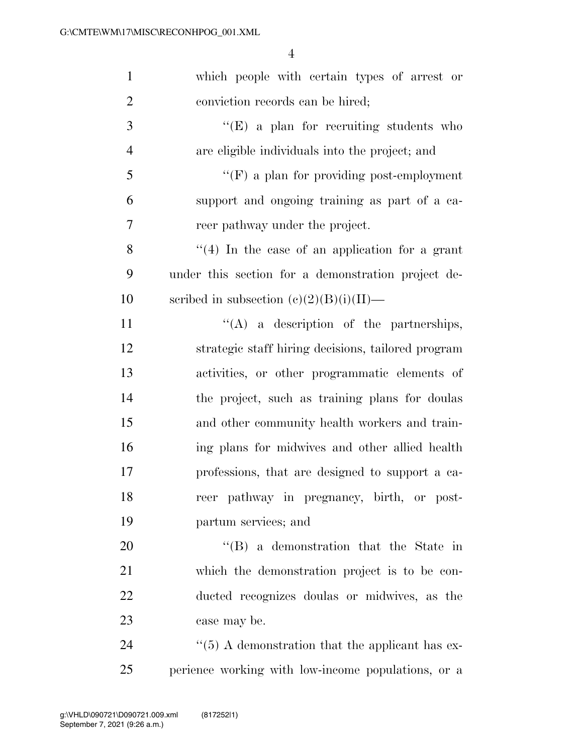| $\mathbf{1}$   | which people with certain types of arrest or           |
|----------------|--------------------------------------------------------|
| $\overline{2}$ | conviction records can be hired;                       |
| 3              | $\lq\lq(E)$ a plan for recruiting students who         |
| $\overline{4}$ | are eligible individuals into the project; and         |
| 5              | $\lq\lq(F)$ a plan for providing post-employment       |
| 6              | support and ongoing training as part of a ca-          |
| 7              | reer pathway under the project.                        |
| 8              | $``(4)$ In the case of an application for a grant      |
| 9              | under this section for a demonstration project de-     |
| 10             | scribed in subsection $(c)(2)(B)(i)(II)$ —             |
| 11             | $\lq\lq$ (A) a description of the partnerships,        |
| 12             | strategic staff hiring decisions, tailored program     |
| 13             | activities, or other programmatic elements of          |
| 14             | the project, such as training plans for doulas         |
| 15             | and other community health workers and train-          |
| 16             | ing plans for midwives and other allied health         |
| 17             | professions, that are designed to support a ca-        |
| 18             | reer pathway in pregnancy, birth, or post-             |
| 19             | partum services; and                                   |
| 20             | $\lq\lq$ (B) a demonstration that the State in         |
| 21             | which the demonstration project is to be con-          |
| 22             | ducted recognizes doulas or midwives, as the           |
| 23             | case may be.                                           |
| 24             | $\cdot$ (5) A demonstration that the applicant has ex- |
| 25             | perience working with low-income populations, or a     |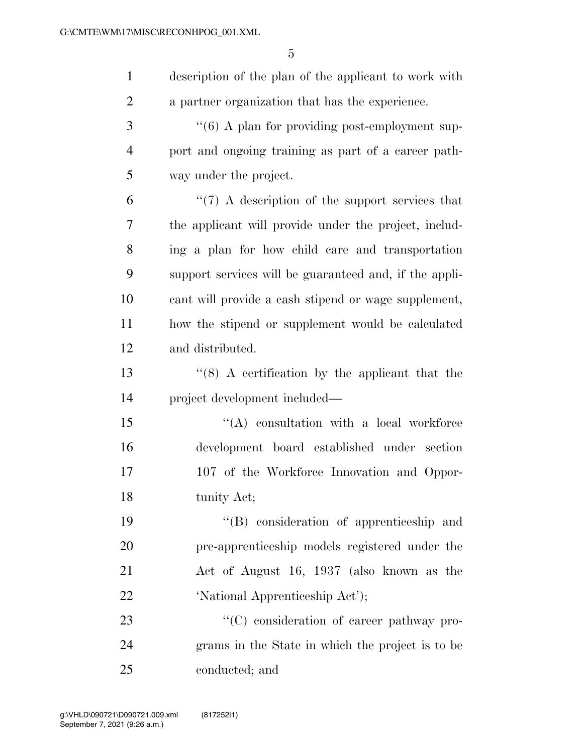| $\mathbf{1}$   | description of the plan of the applicant to work with      |
|----------------|------------------------------------------------------------|
| $\overline{2}$ | a partner organization that has the experience.            |
| 3              | $\cdot\cdot$ (6) A plan for providing post-employment sup- |
| $\overline{4}$ | port and ongoing training as part of a career path-        |
| 5              | way under the project.                                     |
| 6              | $\lq(7)$ A description of the support services that        |
| $\overline{7}$ | the applicant will provide under the project, includ-      |
| 8              | ing a plan for how child care and transportation           |
| 9              | support services will be guaranteed and, if the appli-     |
| 10             | cant will provide a cash stipend or wage supplement,       |
| 11             | how the stipend or supplement would be calculated          |
| 12             | and distributed.                                           |
| 13             | $(8)$ A certification by the applicant that the            |
| 14             | project development included—                              |
| 15             | $\lq\lq$ consultation with a local workforce               |
| 16             | development board established under section                |
| 17             | 107 of the Workforce Innovation and Oppor-                 |
| 18             | tunity Act;                                                |
| 19             | "(B) consideration of apprenticeship and                   |
| 20             | pre-apprenticeship models registered under the             |
| 21             | Act of August 16, 1937 (also known as the                  |
| 22             | 'National Apprenticeship Act');                            |
| 23             | $\lq\lq$ consideration of career pathway pro-              |
| 24             | grams in the State in which the project is to be           |
| 25             | conducted; and                                             |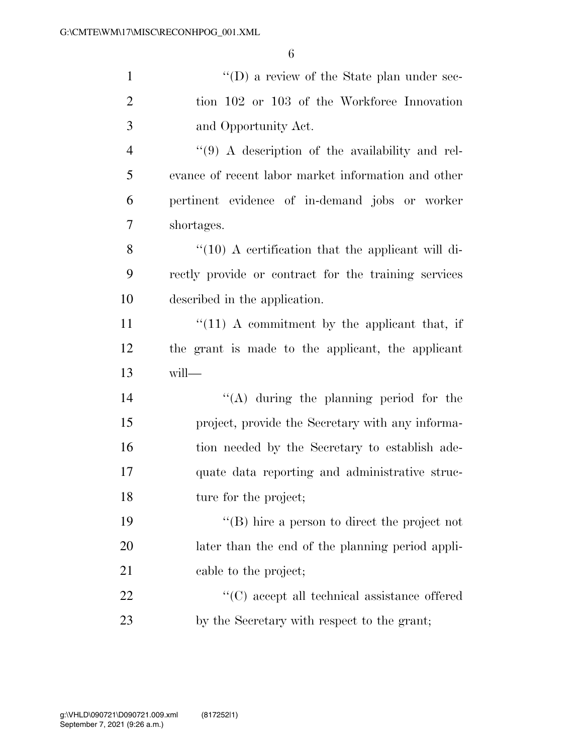| $\mathbf{1}$   | $\lq\lq$ a review of the State plan under sec-        |
|----------------|-------------------------------------------------------|
| $\overline{2}$ | tion 102 or 103 of the Workforce Innovation           |
| 3              | and Opportunity Act.                                  |
| $\overline{4}$ | "(9) A description of the availability and rel-       |
| 5              | evance of recent labor market information and other   |
| 6              | pertinent evidence of in-demand jobs or worker        |
| 7              | shortages.                                            |
| 8              | $\lq(10)$ A certification that the applicant will di- |
| 9              | rectly provide or contract for the training services  |
| 10             | described in the application.                         |
| 11             | $f''(11)$ A commitment by the applicant that, if      |
| 12             | the grant is made to the applicant, the applicant     |
| 13             | will-                                                 |
| 14             | $\lq\lq$ during the planning period for the           |
| 15             | project, provide the Secretary with any informa-      |
| 16             | tion needed by the Secretary to establish ade-        |
| 17             | quate data reporting and administrative struc-        |
| 18             | ture for the project;                                 |
| 19             | $\lq\lq$ (B) hire a person to direct the project not  |
| 20             | later than the end of the planning period appli-      |
| 21             | cable to the project;                                 |
| 22             | $\lq\lq$ (C) accept all technical assistance offered  |
| 23             | by the Secretary with respect to the grant;           |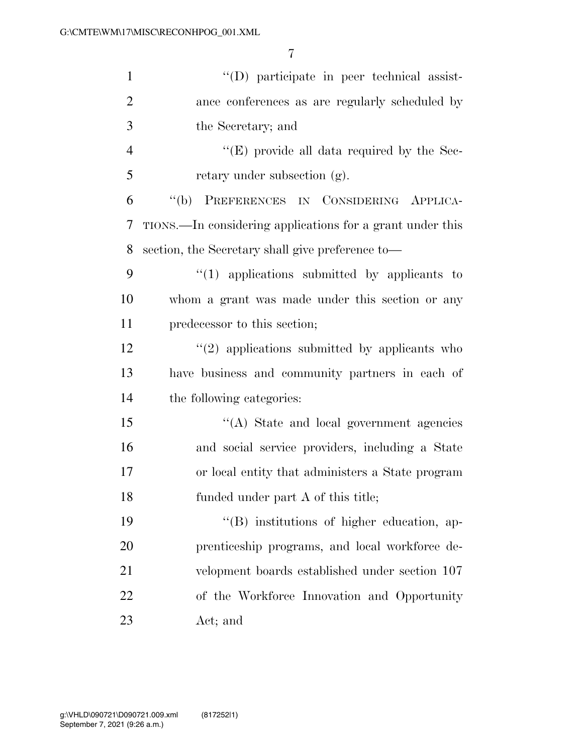| $\mathbf{1}$   | "(D) participate in peer technical assist-                |
|----------------|-----------------------------------------------------------|
| $\overline{2}$ | ance conferences as are regularly scheduled by            |
| 3              | the Secretary; and                                        |
| $\overline{4}$ | " $(E)$ provide all data required by the Sec-             |
| 5              | retary under subsection (g).                              |
| 6              | "(b) PREFERENCES IN CONSIDERING APPLICA-                  |
| 7              | TIONS.—In considering applications for a grant under this |
| 8              | section, the Secretary shall give preference to—          |
| 9              | $"(1)$ applications submitted by applicants to            |
| 10             | whom a grant was made under this section or any           |
| 11             | predecessor to this section;                              |
| 12             | $\lq(2)$ applications submitted by applicants who         |
| 13             | have business and community partners in each of           |
| 14             | the following categories:                                 |
| 15             | "(A) State and local government agencies                  |
| 16             | and social service providers, including a State           |
| 17             | or local entity that administers a State program          |
| 18             | funded under part A of this title;                        |
| 19             | "(B) institutions of higher education, ap-                |
| 20             | prenticeship programs, and local workforce de-            |
| 21             | velopment boards established under section 107            |
| 22             | of the Workforce Innovation and Opportunity               |
| 23             | Act; and                                                  |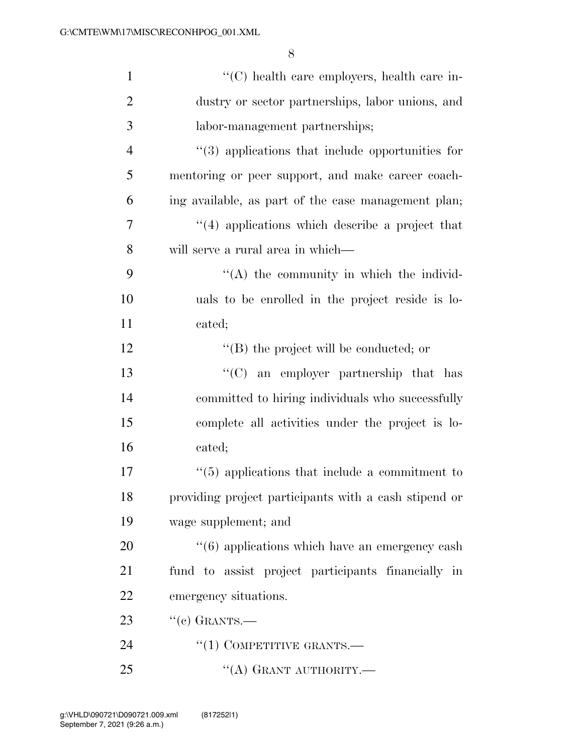| $\mathbf{1}$   | $\lq\lq$ health care employers, health care in-            |
|----------------|------------------------------------------------------------|
| $\overline{2}$ | dustry or sector partnerships, labor unions, and           |
| 3              | labor-management partnerships;                             |
| $\overline{4}$ | $\cdot$ (3) applications that include opportunities for    |
| 5              | mentoring or peer support, and make career coach-          |
| 6              | ing available, as part of the case management plan;        |
| 7              | $\cdot$ (4) applications which describe a project that     |
| 8              | will serve a rural area in which—                          |
| 9              | $\lq\lq$ the community in which the individ-               |
| 10             | uals to be enrolled in the project reside is lo-           |
| 11             | cated;                                                     |
| 12             | $\lq\lq$ the project will be conducted; or                 |
| 13             | "(C) an employer partnership that has                      |
| 14             | committed to hiring individuals who successfully           |
| 15             | complete all activities under the project is lo-           |
| 16             | cated;                                                     |
| 17             | $\cdot\cdot$ (5) applications that include a commitment to |
| 18             | providing project participants with a cash stipend or      |
| 19             | wage supplement; and                                       |
| 20             | $\cdot\cdot$ (6) applications which have an emergency cash |
| 21             | fund to assist project participants financially in         |
| 22             | emergency situations.                                      |
| 23             | $``(e)$ GRANTS.—                                           |
| 24             | $\lq(1)$ COMPETITIVE GRANTS.—                              |
| 25             | "(A) GRANT AUTHORITY.—                                     |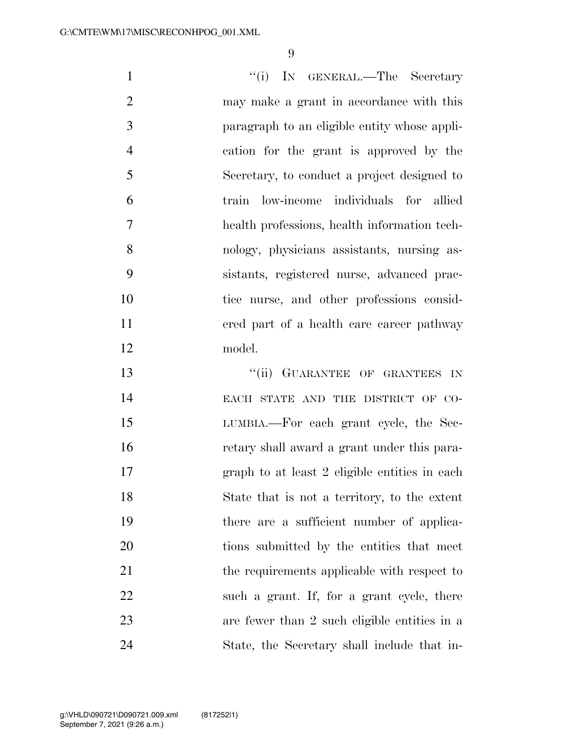1 ''(i) IN GENERAL.—The Secretary may make a grant in accordance with this paragraph to an eligible entity whose appli- cation for the grant is approved by the Secretary, to conduct a project designed to train low-income individuals for allied health professions, health information tech- nology, physicians assistants, nursing as- sistants, registered nurse, advanced prac- tice nurse, and other professions consid- ered part of a health care career pathway model. **CONTRACTER OF GRANTEES IN**  EACH STATE AND THE DISTRICT OF CO- LUMBIA.—For each grant cycle, the Sec- retary shall award a grant under this para- graph to at least 2 eligible entities in each State that is not a territory, to the extent there are a sufficient number of applica-20 tions submitted by the entities that meet

21 the requirements applicable with respect to

22 such a grant. If, for a grant cycle, there

are fewer than 2 such eligible entities in a

State, the Secretary shall include that in-

September 7, 2021 (9:26 a.m.) g:\VHLD\090721\D090721.009.xml (817252|1)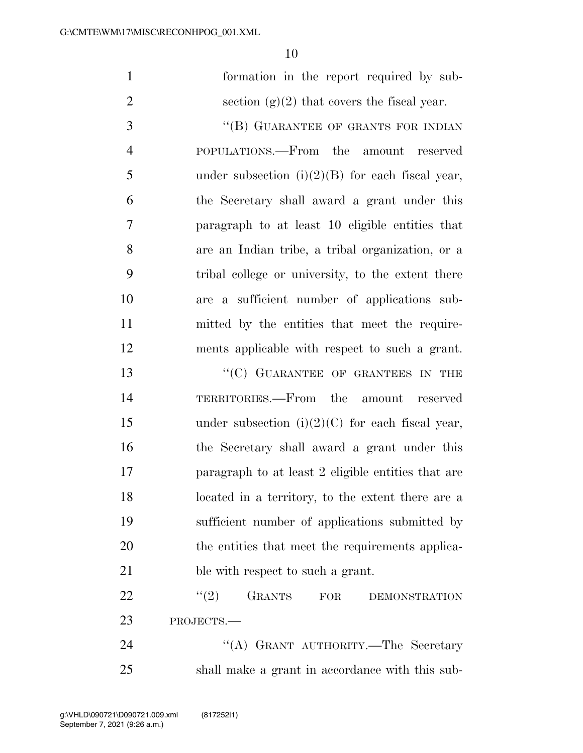|  |  | formation in the report required by sub-      |  |
|--|--|-----------------------------------------------|--|
|  |  | section $(g)(2)$ that covers the fiscal year. |  |

3 "(B) GUARANTEE OF GRANTS FOR INDIAN POPULATIONS.—From the amount reserved 5 under subsection  $(i)(2)(B)$  for each fiscal year, the Secretary shall award a grant under this paragraph to at least 10 eligible entities that are an Indian tribe, a tribal organization, or a tribal college or university, to the extent there are a sufficient number of applications sub- mitted by the entities that meet the require-ments applicable with respect to such a grant.

13 "'(C) GUARANTEE OF GRANTEES IN THE TERRITORIES.—From the amount reserved 15 under subsection  $(i)(2)(C)$  for each fiscal year, the Secretary shall award a grant under this paragraph to at least 2 eligible entities that are located in a territory, to the extent there are a sufficient number of applications submitted by the entities that meet the requirements applica-21 ble with respect to such a grant.

22 "<sup>(2)</sup> GRANTS FOR DEMONSTRATION PROJECTS.—

24 "(A) GRANT AUTHORITY.—The Secretary shall make a grant in accordance with this sub-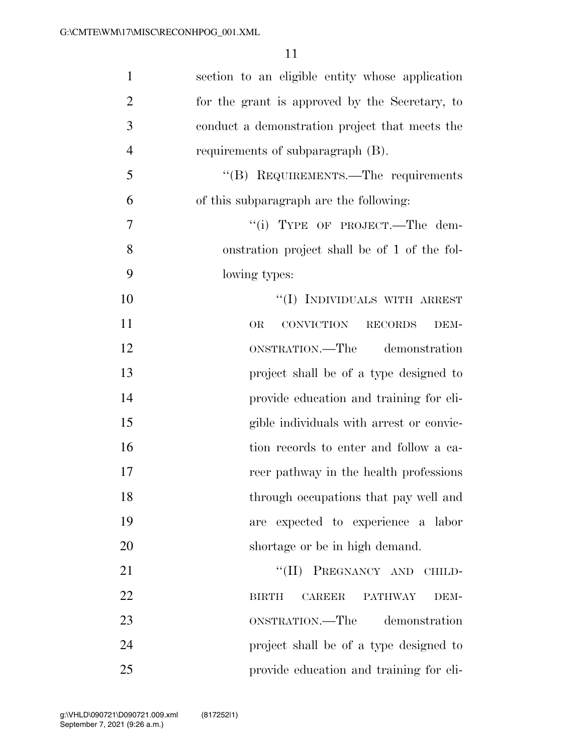| $\mathbf{1}$   | section to an eligible entity whose application         |
|----------------|---------------------------------------------------------|
| $\overline{2}$ | for the grant is approved by the Secretary, to          |
| 3              | conduct a demonstration project that meets the          |
| $\overline{4}$ | requirements of subparagraph (B).                       |
| 5              | "(B) REQUIREMENTS.—The requirements                     |
| 6              | of this subparagraph are the following:                 |
| 7              | "(i) TYPE OF PROJECT.—The dem-                          |
| 8              | onstration project shall be of 1 of the fol-            |
| 9              | lowing types:                                           |
| 10             | "(I) INDIVIDUALS WITH ARREST                            |
| 11             | CONVICTION<br><b>RECORDS</b><br><b>OR</b><br>DEM-       |
| 12             | ONSTRATION.—The demonstration                           |
| 13             | project shall be of a type designed to                  |
| 14             | provide education and training for eli-                 |
| 15             | gible individuals with arrest or convic-                |
| 16             | tion records to enter and follow a ca-                  |
| 17             | reer pathway in the health professions                  |
| 18             | through occupations that pay well and                   |
| 19             | expected to experience a labor<br>are                   |
| 20             | shortage or be in high demand.                          |
| 21             | ``(II)<br>PREGNANCY AND CHILD-                          |
| 22             | <b>CAREER</b><br><b>PATHWAY</b><br><b>BIRTH</b><br>DEM- |
| 23             | ONSTRATION.—The<br>demonstration                        |
| 24             | project shall be of a type designed to                  |
| 25             | provide education and training for eli-                 |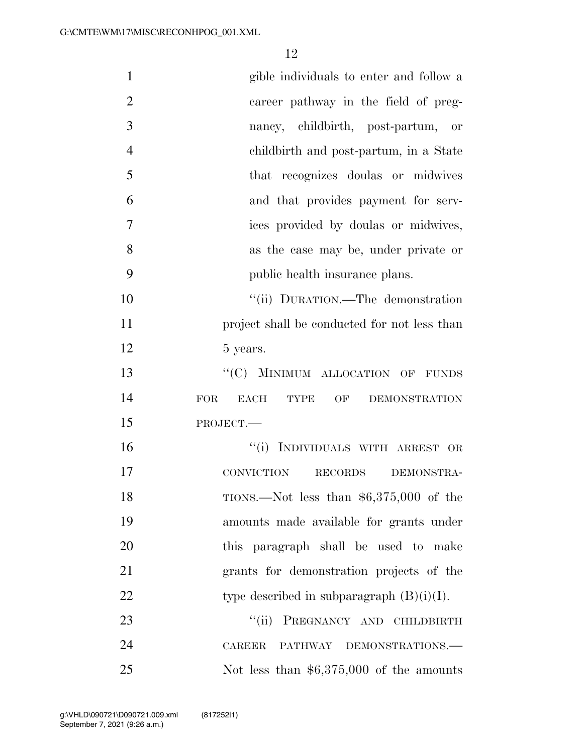| $\mathbf{1}$   | gible individuals to enter and follow a               |
|----------------|-------------------------------------------------------|
| $\overline{2}$ | career pathway in the field of preg-                  |
| 3              | nancy, childbirth, post-partum,<br>or                 |
| $\overline{4}$ | childbirth and post-partum, in a State                |
| 5              | that recognizes doulas or midwives                    |
| 6              | and that provides payment for serv-                   |
| $\overline{7}$ | ices provided by doulas or midwives,                  |
| 8              | as the case may be, under private or                  |
| 9              | public health insurance plans.                        |
| 10             | "(ii) DURATION.—The demonstration                     |
| 11             | project shall be conducted for not less than          |
| 12             | 5 years.                                              |
| 13             | "(C) MINIMUM ALLOCATION OF FUNDS                      |
| 14             | EACH<br><b>FOR</b><br><b>TYPE</b><br>OF DEMONSTRATION |
| 15             | PROJECT.                                              |
| 16             | "(i) INDIVIDUALS WITH ARREST OR                       |
| 17             | CONVICTION<br>RECORDS<br>DEMONSTRA-                   |
| 18             | TIONS.—Not less than $$6,375,000$ of the              |
| 19             | amounts made available for grants under               |
| 20             | this paragraph shall be used to make                  |
| 21             | grants for demonstration projects of the              |
| 22             | type described in subparagraph $(B)(i)(I)$ .          |
| 23             | PREGNANCY AND CHILDBIRTH<br>$\lq(\mathbf{ii})$        |
| 24             | <b>CAREER</b><br>PATHWAY DEMONSTRATIONS.              |
| 25             | Not less than $$6,375,000$ of the amounts             |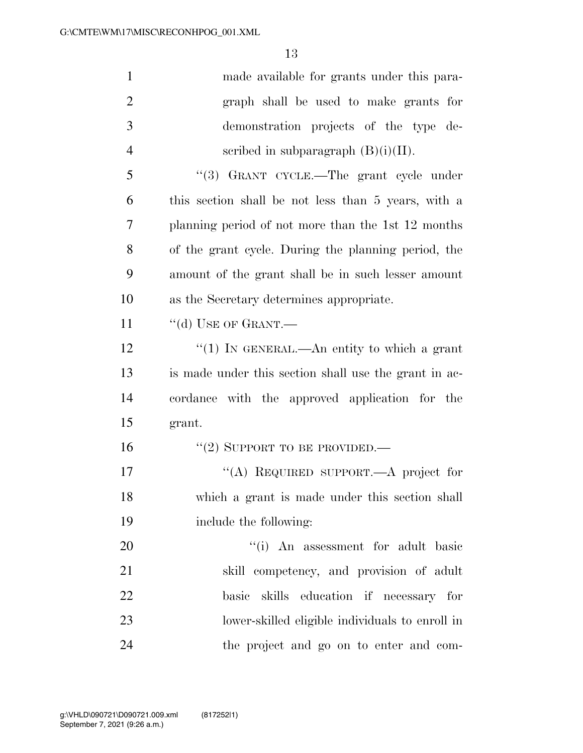| $\mathbf{1}$   | made available for grants under this para-            |
|----------------|-------------------------------------------------------|
| $\overline{2}$ | graph shall be used to make grants for                |
| 3              | demonstration projects of the type de-                |
| $\overline{4}$ | scribed in subparagraph $(B)(i)(II)$ .                |
| 5              | "(3) GRANT CYCLE.—The grant cycle under               |
| 6              | this section shall be not less than 5 years, with a   |
| 7              | planning period of not more than the 1st 12 months    |
| 8              | of the grant cycle. During the planning period, the   |
| 9              | amount of the grant shall be in such lesser amount    |
| 10             | as the Secretary determines appropriate.              |
| 11             | "(d) USE OF GRANT.—                                   |
| 12             | "(1) IN GENERAL.—An entity to which a grant           |
| 13             | is made under this section shall use the grant in ac- |
| 14             | cordance with the approved application for the        |
| 15             | grant.                                                |
| 16             | "(2) SUPPORT TO BE PROVIDED.—                         |
| 17             | "(A) REQUIRED SUPPORT.—A project for                  |
| 18             | which a grant is made under this section shall        |
| 19             | include the following:                                |
| 20             | "(i) An assessment for adult basic                    |
| 21             | skill competency, and provision of adult              |
| 22             | basic skills education if necessary for               |
| 23             | lower-skilled eligible individuals to enroll in       |
| 24             | the project and go on to enter and com-               |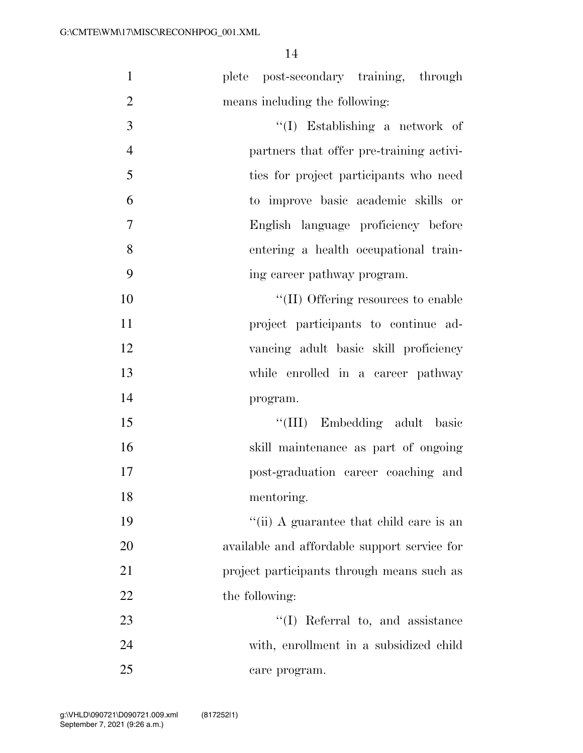| $\mathbf{1}$   | plete post-secondary training, through       |
|----------------|----------------------------------------------|
| $\overline{2}$ | means including the following:               |
| 3              | $\lq\lq$ (I) Establishing a network of       |
| $\overline{4}$ | partners that offer pre-training activi-     |
| 5              | ties for project participants who need       |
| 6              | to improve basic academic skills or          |
| $\tau$         | English language proficiency before          |
| 8              | entering a health occupational train-        |
| 9              | ing career pathway program.                  |
| 10             | "(II) Offering resources to enable           |
| 11             | project participants to continue ad-         |
| 12             | vancing adult basic skill proficiency        |
| 13             | while enrolled in a career pathway           |
| 14             | program.                                     |
| 15             | "(III) Embedding adult basic                 |
| 16             | skill maintenance as part of ongoing         |
| 17             | post-graduation career coaching and          |
| 18             | mentoring.                                   |
| 19             | "(ii) A guarantee that child care is an      |
| 20             | available and affordable support service for |
| 21             | project participants through means such as   |
| 22             | the following:                               |
| 23             | $\lq\lq$ (I) Referral to, and assistance     |
| 24             | with, enrollment in a subsidized child       |
| 25             | care program.                                |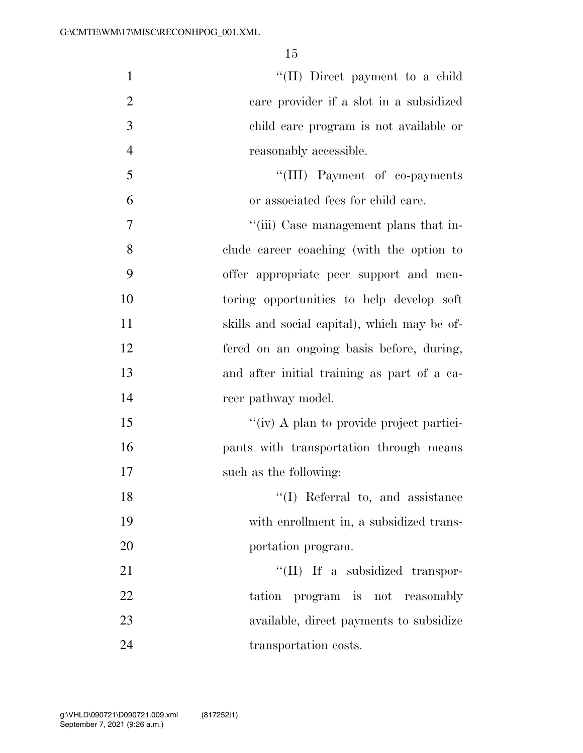| $\mathbf{1}$   | "(II) Direct payment to a child              |
|----------------|----------------------------------------------|
| $\overline{2}$ | care provider if a slot in a subsidized      |
| 3              | child care program is not available or       |
| $\overline{4}$ | reasonably accessible.                       |
| 5              | "(III) Payment of co-payments                |
| 6              | or associated fees for child care.           |
| 7              | "(iii) Case management plans that in-        |
| 8              | clude career coaching (with the option to    |
| 9              | offer appropriate peer support and men-      |
| 10             | toring opportunities to help develop soft    |
| 11             | skills and social capital), which may be of- |
| 12             | fered on an ongoing basis before, during,    |
| 13             | and after initial training as part of a ca-  |
| 14             | reer pathway model.                          |
| 15             | "(iv) A plan to provide project partici-     |
| 16             | pants with transportation through means      |
| 17             | such as the following:                       |
| 18             | $\lq\lq$ (I) Referral to, and assistance     |
| 19             | with enrollment in, a subsidized trans-      |
| 20             | portation program.                           |
| 21             | $\lq\lq$ (II) If a subsidized transpor-      |
| 22             | tation program is not reasonably             |
| 23             | available, direct payments to subsidize      |
| 24             | transportation costs.                        |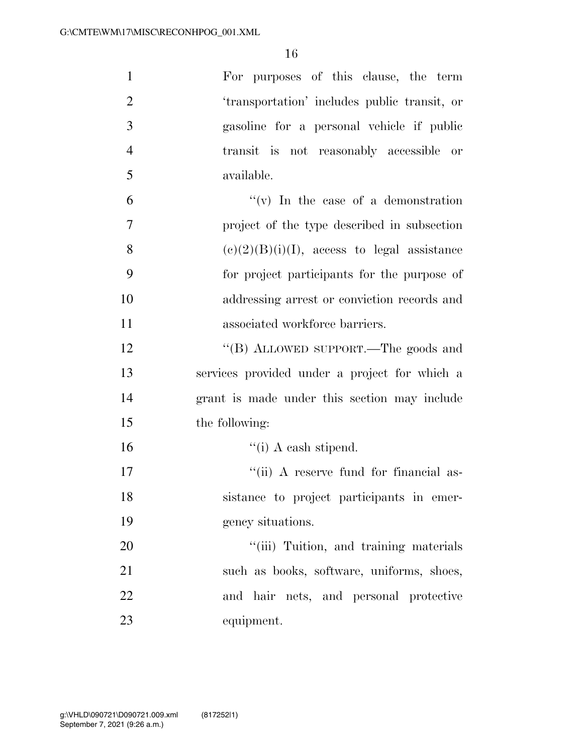| $\mathbf{1}$   | For purposes of this clause, the term          |
|----------------|------------------------------------------------|
| $\overline{2}$ | 'transportation' includes public transit, or   |
| 3              | gasoline for a personal vehicle if public      |
| $\overline{4}$ | transit is not reasonably accessible or        |
| 5              | available.                                     |
| 6              | "(v) In the case of a demonstration            |
| 7              | project of the type described in subsection    |
| 8              | $(c)(2)(B)(i)(I)$ , access to legal assistance |
| 9              | for project participants for the purpose of    |
| 10             | addressing arrest or conviction records and    |
| 11             | associated workforce barriers.                 |
| 12             | "(B) ALLOWED SUPPORT.—The goods and            |
| 13             | services provided under a project for which a  |
| 14             | grant is made under this section may include   |
| 15             | the following:                                 |
| 16             | $``(i)$ A cash stipend.                        |
| 17             | "(ii) A reserve fund for financial as-         |
| 18             | sistance to project participants in emer-      |
| 19             | gency situations.                              |
| 20             | "(iii) Tuition, and training materials         |
| 21             | such as books, software, uniforms, shoes,      |
| 22             | and hair nets, and personal protective         |
| 23             | equipment.                                     |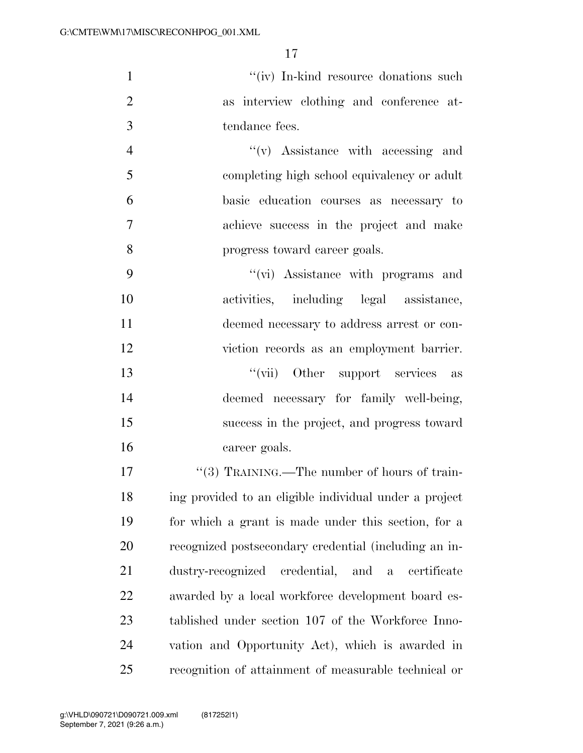1 ''(iv) In-kind resource donations such as interview clothing and conference at-tendance fees.

 $''(v)$  Assistance with accessing and completing high school equivalency or adult basic education courses as necessary to achieve success in the project and make progress toward career goals.

 $''(\vec{v})$  Assistance with programs and activities, including legal assistance, deemed necessary to address arrest or con- viction records as an employment barrier. 13 ''(vii) Other support services as deemed necessary for family well-being, success in the project, and progress toward career goals.

 $\frac{17}{3}$  TRAINING.—The number of hours of train- ing provided to an eligible individual under a project for which a grant is made under this section, for a recognized postsecondary credential (including an in- dustry-recognized credential, and a certificate awarded by a local workforce development board es- tablished under section 107 of the Workforce Inno- vation and Opportunity Act), which is awarded in recognition of attainment of measurable technical or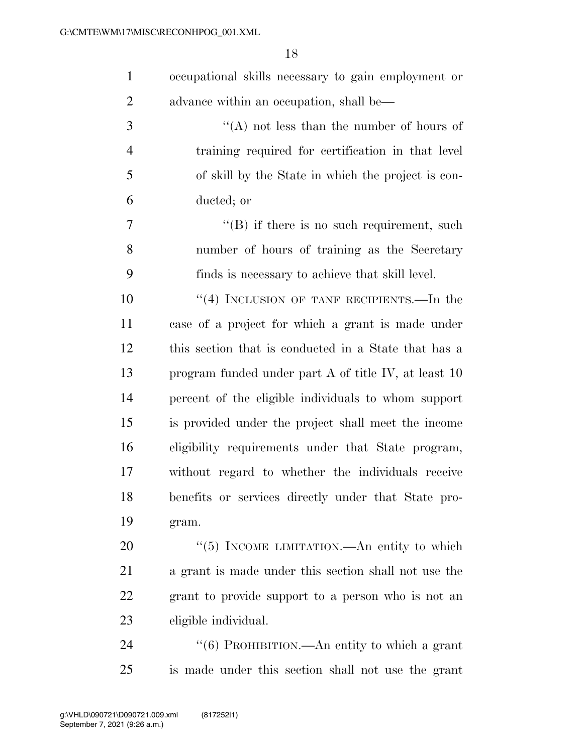| occupational skills necessary to gain employment or |
|-----------------------------------------------------|
| advance within an occupation, shall be—             |

 ''(A) not less than the number of hours of training required for certification in that level of skill by the State in which the project is con-ducted; or

7 ''(B) if there is no such requirement, such number of hours of training as the Secretary finds is necessary to achieve that skill level.

10 ''(4) INCLUSION OF TANF RECIPIENTS.—In the case of a project for which a grant is made under this section that is conducted in a State that has a program funded under part A of title IV, at least 10 percent of the eligible individuals to whom support is provided under the project shall meet the income eligibility requirements under that State program, without regard to whether the individuals receive benefits or services directly under that State pro-gram.

20 "(5) INCOME LIMITATION.—An entity to which a grant is made under this section shall not use the grant to provide support to a person who is not an eligible individual.

24 "(6) PROHIBITION.—An entity to which a grant is made under this section shall not use the grant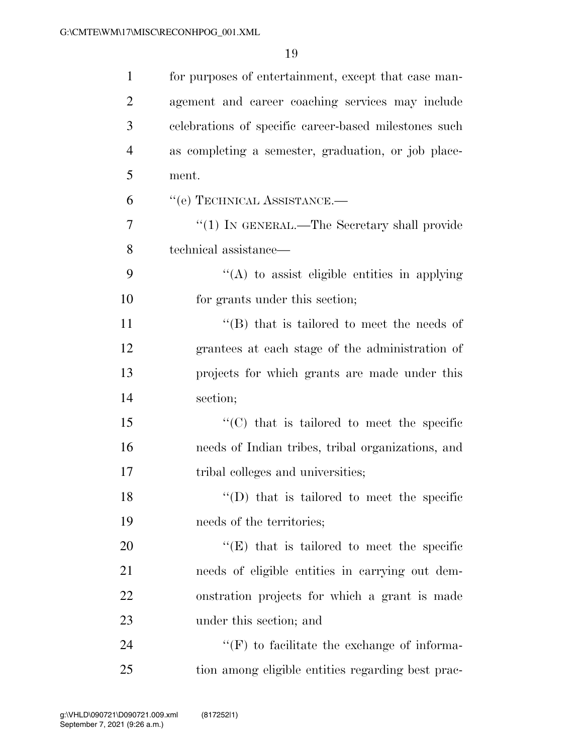| $\mathbf{1}$   | for purposes of entertainment, except that case man-  |
|----------------|-------------------------------------------------------|
| $\overline{2}$ | agement and career coaching services may include      |
| 3              | celebrations of specific career-based milestones such |
| $\overline{4}$ | as completing a semester, graduation, or job place-   |
| 5              | ment.                                                 |
| 6              | "(e) TECHNICAL ASSISTANCE.-                           |
| 7              | " $(1)$ IN GENERAL.—The Secretary shall provide       |
| 8              | technical assistance—                                 |
| 9              | $\lq\lq$ to assist eligible entities in applying      |
| 10             | for grants under this section;                        |
| 11             | $\lq\lq$ that is tailored to meet the needs of        |
| 12             | grantees at each stage of the administration of       |
| 13             | projects for which grants are made under this         |
| 14             | section;                                              |
| 15             | "(C) that is tailored to meet the specific            |
| 16             | needs of Indian tribes, tribal organizations, and     |
| 17             | tribal colleges and universities;                     |
| 18             | $\lq\lq$ (D) that is tailored to meet the specific    |
| 19             | needs of the territories;                             |
| 20             | $\lq\lq(E)$ that is tailored to meet the specific     |
| 21             | needs of eligible entities in carrying out dem-       |
| 22             | onstration projects for which a grant is made         |
| 23             | under this section; and                               |
| 24             | $\lq\lq(F)$ to facilitate the exchange of informa-    |
| 25             | tion among eligible entities regarding best prac-     |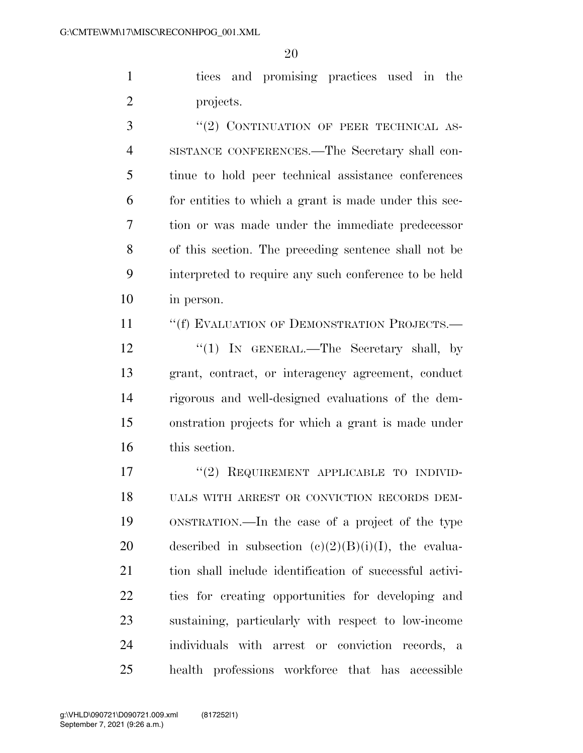tices and promising practices used in the projects.

3 "(2) CONTINUATION OF PEER TECHNICAL AS- SISTANCE CONFERENCES.—The Secretary shall con- tinue to hold peer technical assistance conferences for entities to which a grant is made under this sec- tion or was made under the immediate predecessor of this section. The preceding sentence shall not be interpreted to require any such conference to be held in person.

11 ""(f) EVALUATION OF DEMONSTRATION PROJECTS.—

12 ''(1) In GENERAL.—The Secretary shall, by grant, contract, or interagency agreement, conduct rigorous and well-designed evaluations of the dem- onstration projects for which a grant is made under this section.

17 "(2) REQUIREMENT APPLICABLE TO INDIVID- UALS WITH ARREST OR CONVICTION RECORDS DEM- ONSTRATION.—In the case of a project of the type 20 described in subsection  $(e)(2)(B)(i)(I)$ , the evalua- tion shall include identification of successful activi- ties for creating opportunities for developing and sustaining, particularly with respect to low-income individuals with arrest or conviction records, a health professions workforce that has accessible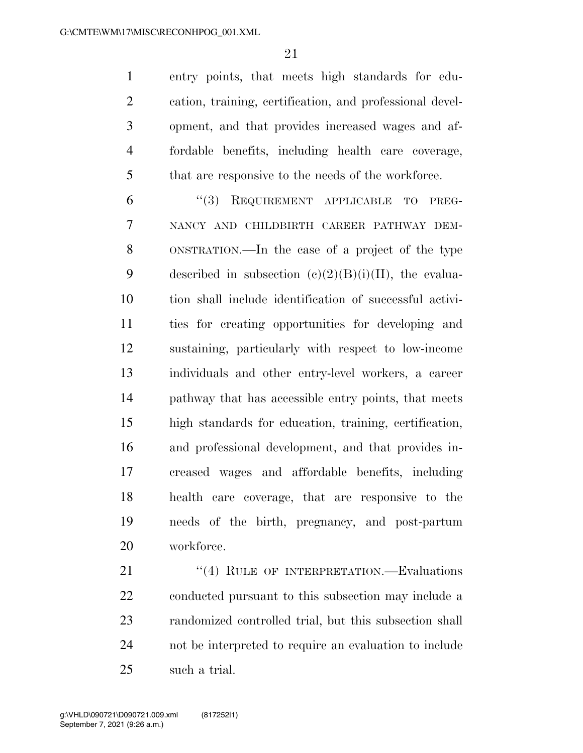entry points, that meets high standards for edu- cation, training, certification, and professional devel- opment, and that provides increased wages and af- fordable benefits, including health care coverage, that are responsive to the needs of the workforce.

 ''(3) REQUIREMENT APPLICABLE TO PREG- NANCY AND CHILDBIRTH CAREER PATHWAY DEM- ONSTRATION.—In the case of a project of the type 9 described in subsection  $(e)(2)(B)(i)(II)$ , the evalua- tion shall include identification of successful activi- ties for creating opportunities for developing and sustaining, particularly with respect to low-income individuals and other entry-level workers, a career pathway that has accessible entry points, that meets high standards for education, training, certification, and professional development, and that provides in- creased wages and affordable benefits, including health care coverage, that are responsive to the needs of the birth, pregnancy, and post-partum workforce.

21 "(4) RULE OF INTERPRETATION.—Evaluations conducted pursuant to this subsection may include a randomized controlled trial, but this subsection shall not be interpreted to require an evaluation to include such a trial.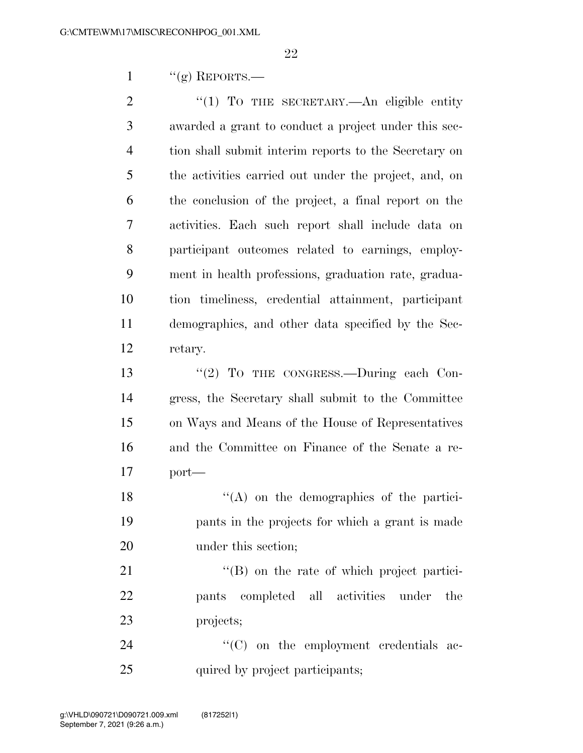$\frac{1}{2}$  ''(g) REPORTS.—

2 "(1) To THE SECRETARY.—An eligible entity awarded a grant to conduct a project under this sec- tion shall submit interim reports to the Secretary on the activities carried out under the project, and, on the conclusion of the project, a final report on the activities. Each such report shall include data on participant outcomes related to earnings, employ- ment in health professions, graduation rate, gradua- tion timeliness, credential attainment, participant demographics, and other data specified by the Sec-retary.

13 "(2) To THE CONGRESS.—During each Con- gress, the Secretary shall submit to the Committee on Ways and Means of the House of Representatives and the Committee on Finance of the Senate a re-port—

18 ''(A) on the demographics of the partici- pants in the projects for which a grant is made under this section;

21 "(B) on the rate of which project partici- pants completed all activities under the projects;

24  $\cdot$  (C) on the employment credentials ac-25 quired by project participants;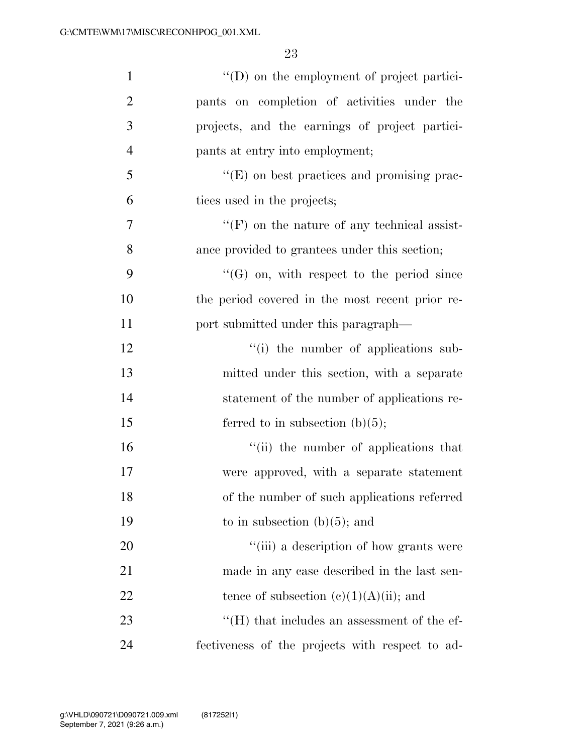| $\mathbf{1}$   | "(D) on the employment of project partici-         |
|----------------|----------------------------------------------------|
| $\overline{2}$ | pants on completion of activities under the        |
| 3              | projects, and the earnings of project partici-     |
| $\overline{4}$ | pants at entry into employment;                    |
| 5              | $\lq\lq(E)$ on best practices and promising prac-  |
| 6              | tices used in the projects;                        |
| $\tau$         | $\lq\lq(F)$ on the nature of any technical assist- |
| 8              | ance provided to grantees under this section;      |
| 9              | $\lq\lq(G)$ on, with respect to the period since   |
| 10             | the period covered in the most recent prior re-    |
| 11             | port submitted under this paragraph—               |
| 12             | "(i) the number of applications sub-               |
| 13             | mitted under this section, with a separate         |
| 14             | statement of the number of applications re-        |
| 15             | ferred to in subsection $(b)(5)$ ;                 |
| 16             | "(ii) the number of applications that              |
| 17             | were approved, with a separate statement           |
| 18             | of the number of such applications referred        |
| 19             | to in subsection $(b)(5)$ ; and                    |
| 20             | "(iii) a description of how grants were            |
| 21             | made in any case described in the last sen-        |
| 22             | tence of subsection $(c)(1)(A)(ii)$ ; and          |
| 23             | $H(H)$ that includes an assessment of the ef-      |
| 24             | fectiveness of the projects with respect to ad-    |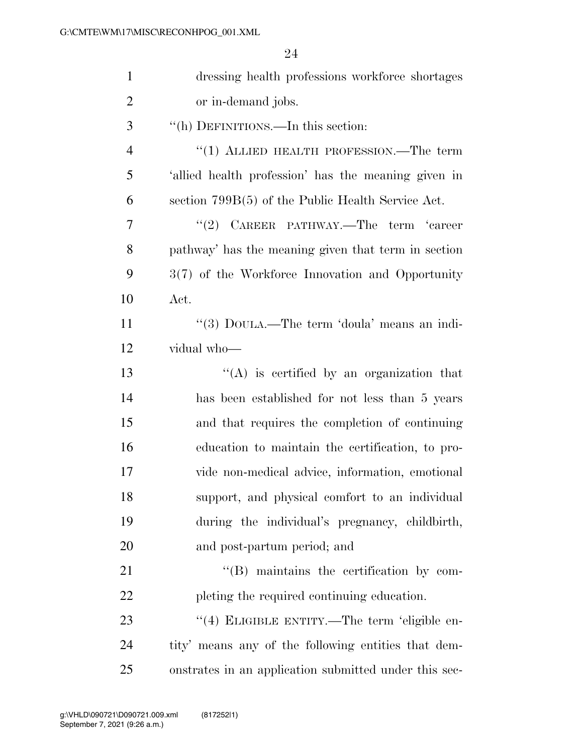| $\mathbf{1}$   | dressing health professions workforce shortages       |
|----------------|-------------------------------------------------------|
| $\overline{2}$ | or in-demand jobs.                                    |
| 3              | "(h) DEFINITIONS.—In this section:                    |
| $\overline{4}$ | "(1) ALLIED HEALTH PROFESSION.—The term               |
| 5              | 'allied health profession' has the meaning given in   |
| 6              | section $799B(5)$ of the Public Health Service Act.   |
| 7              | "(2) CAREER PATHWAY.—The term 'career                 |
| 8              | pathway' has the meaning given that term in section   |
| 9              | $3(7)$ of the Workforce Innovation and Opportunity    |
| 10             | Act.                                                  |
| 11             | "(3) DOULA.—The term 'doula' means an indi-           |
| 12             | vidual who-                                           |
| 13             | "(A) is certified by an organization that             |
| 14             | has been established for not less than 5 years        |
| 15             | and that requires the completion of continuing        |
| 16             | education to maintain the certification, to pro-      |
| 17             | vide non-medical advice, information, emotional       |
| 18             | support, and physical comfort to an individual        |
| 19             | during the individual's pregnancy, childbirth,        |
| 20             | and post-partum period; and                           |
| 21             | $\lq\lq$ . maintains the certification by com-        |
| 22             | pleting the required continuing education.            |
| 23             | "(4) ELIGIBLE ENTITY.—The term 'eligible en-          |
| 24             | tity' means any of the following entities that dem-   |
| 25             | onstrates in an application submitted under this sec- |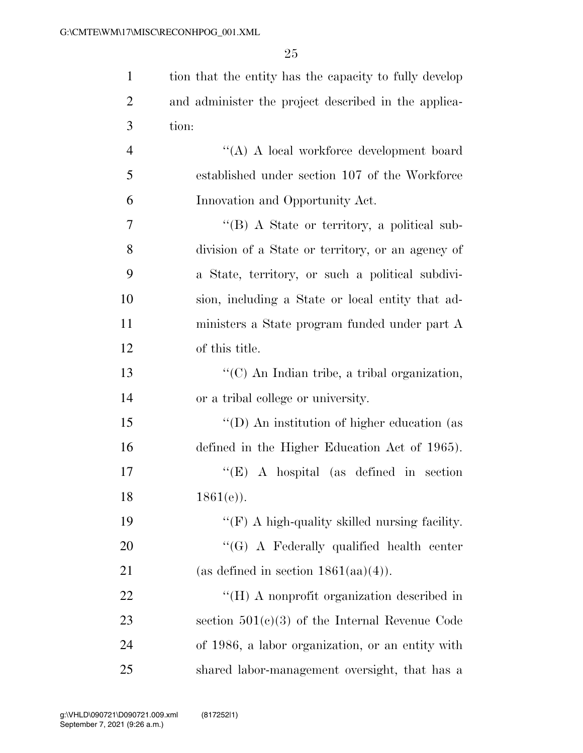| $\mathbf{1}$   | tion that the entity has the capacity to fully develop |
|----------------|--------------------------------------------------------|
| $\overline{2}$ | and administer the project described in the applica-   |
| 3              | tion:                                                  |
| $\overline{4}$ | "(A) A local workforce development board               |
| 5              | established under section 107 of the Workforce         |
| 6              | Innovation and Opportunity Act.                        |
| 7              | "(B) A State or territory, a political sub-            |
| 8              | division of a State or territory, or an agency of      |
| 9              | a State, territory, or such a political subdivi-       |
| 10             | sion, including a State or local entity that ad-       |
| 11             | ministers a State program funded under part A          |
| 12             | of this title.                                         |
| 13             | "(C) An Indian tribe, a tribal organization,           |
| 14             | or a tribal college or university.                     |
| 15             | "(D) An institution of higher education (as            |
| 16             | defined in the Higher Education Act of 1965).          |
| 17             | $\lq\lq$ (E) A hospital (as defined in section         |
| 18             | $1861(e)$ ).                                           |
| 19             | " $(F)$ A high-quality skilled nursing facility.       |
| 20             | "(G) A Federally qualified health center               |
| 21             | (as defined in section $1861(aa)(4)$ ).                |
| 22             | "(H) A nonprofit organization described in             |
| 23             | section $501(c)(3)$ of the Internal Revenue Code       |
| 24             | of 1986, a labor organization, or an entity with       |
| 25             | shared labor-management oversight, that has a          |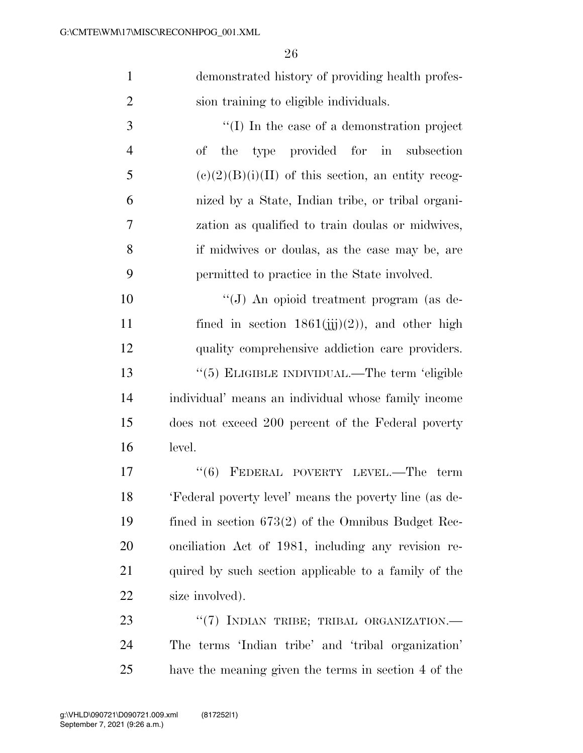demonstrated history of providing health profes-sion training to eligible individuals.

 ''(I) In the case of a demonstration project of the type provided for in subsection 5 (e)(2)(B)(i)(II) of this section, an entity recog- nized by a State, Indian tribe, or tribal organi- zation as qualified to train doulas or midwives, if midwives or doulas, as the case may be, are permitted to practice in the State involved.

 ''(J) An opioid treatment program (as de-11 fined in section  $1861(iii)(2)$ , and other high quality comprehensive addiction care providers. ''(5) ELIGIBLE INDIVIDUAL.—The term 'eligible individual' means an individual whose family income does not exceed 200 percent of the Federal poverty level.

17 "(6) FEDERAL POVERTY LEVEL.—The term 'Federal poverty level' means the poverty line (as de- fined in section 673(2) of the Omnibus Budget Rec- onciliation Act of 1981, including any revision re-21 quired by such section applicable to a family of the 22 size involved).

23 "(7) INDIAN TRIBE; TRIBAL ORGANIZATION. The terms 'Indian tribe' and 'tribal organization' have the meaning given the terms in section 4 of the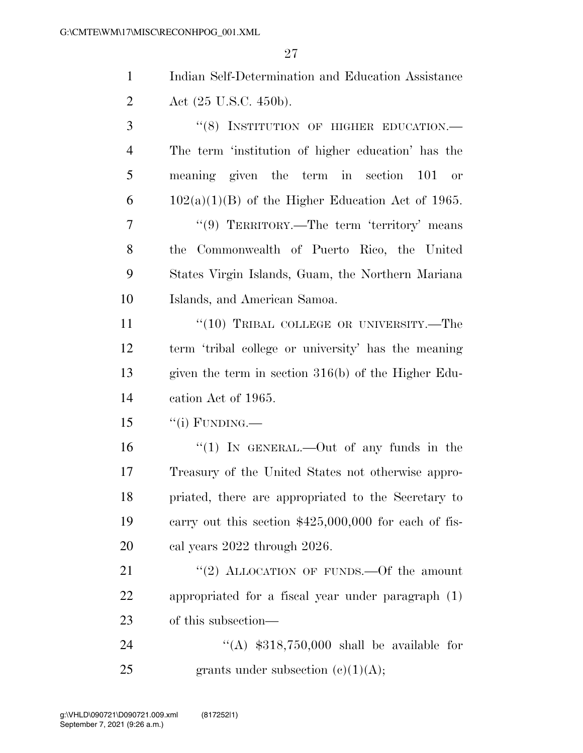Indian Self-Determination and Education Assistance 2 Act (25 U.S.C. 450b).

| 3              | "(8) INSTITUTION OF HIGHER EDUCATION.-              |
|----------------|-----------------------------------------------------|
| $\overline{4}$ | The term 'institution of higher education' has the  |
| 5              | meaning given the term in section 101 or            |
| 6              | $102(a)(1)(B)$ of the Higher Education Act of 1965. |
| $\overline{7}$ | "(9) TERRITORY.—The term 'territory' means          |
| 8              | the Commonwealth of Puerto Rico, the United         |
| 9              | States Virgin Islands, Guam, the Northern Mariana   |
| 10             | Islands, and American Samoa.                        |
| 11             | " $(10)$ TRIBAL COLLEGE OR UNIVERSITY.—The          |
| $1^{\circ}$    | town tribol college or university has the meaning   |

 term 'tribal college or university' has the meaning given the term in section 316(b) of the Higher Edu-cation Act of 1965.

"(i) FUNDING.—

16 "(1) In GENERAL.—Out of any funds in the Treasury of the United States not otherwise appro- priated, there are appropriated to the Secretary to carry out this section \$425,000,000 for each of fis-cal years 2022 through 2026.

21 "(2) ALLOCATION OF FUNDS. - Of the amount appropriated for a fiscal year under paragraph (1) of this subsection—

 ''(A) \$318,750,000 shall be available for 25 grants under subsection  $(e)(1)(A);$